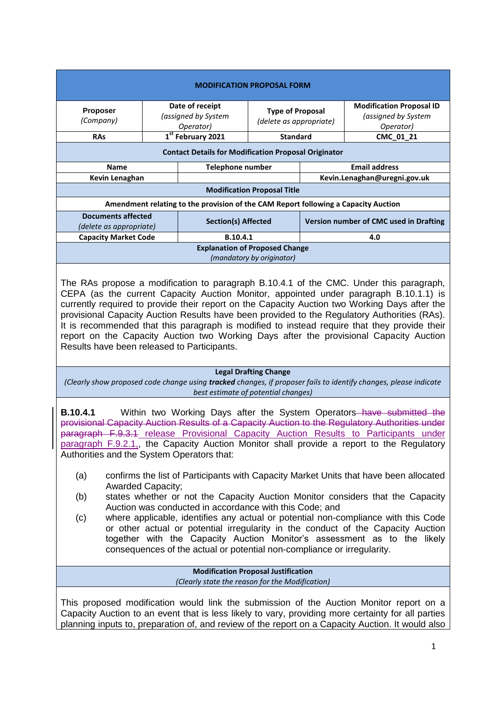| <b>MODIFICATION PROPOSAL FORM</b>                                                  |                                                     |                            |                                                    |                                        |                                                                     |  |
|------------------------------------------------------------------------------------|-----------------------------------------------------|----------------------------|----------------------------------------------------|----------------------------------------|---------------------------------------------------------------------|--|
| <b>Proposer</b><br>(Company)                                                       | Date of receipt<br>(assigned by System<br>Operator) |                            | <b>Type of Proposal</b><br>(delete as appropriate) |                                        | <b>Modification Proposal ID</b><br>(assigned by System<br>Operator) |  |
| <b>RAs</b>                                                                         | 1st February 2021                                   |                            | <b>Standard</b>                                    |                                        | CMC_01_21                                                           |  |
| <b>Contact Details for Modification Proposal Originator</b>                        |                                                     |                            |                                                    |                                        |                                                                     |  |
| <b>Name</b>                                                                        |                                                     | Telephone number           |                                                    | <b>Email address</b>                   |                                                                     |  |
| Kevin Lenaghan                                                                     |                                                     |                            |                                                    | Kevin.Lenaghan@uregni.gov.uk           |                                                                     |  |
| <b>Modification Proposal Title</b>                                                 |                                                     |                            |                                                    |                                        |                                                                     |  |
| Amendment relating to the provision of the CAM Report following a Capacity Auction |                                                     |                            |                                                    |                                        |                                                                     |  |
| <b>Documents affected</b><br>(delete as appropriate)                               |                                                     | <b>Section(s) Affected</b> |                                                    | Version number of CMC used in Drafting |                                                                     |  |
| <b>Capacity Market Code</b>                                                        |                                                     | B.10.4.1                   |                                                    | 4.0                                    |                                                                     |  |
| <b>Explanation of Proposed Change</b><br>(mandatory by originator)                 |                                                     |                            |                                                    |                                        |                                                                     |  |

The RAs propose a modification to paragraph B.10.4.1 of the CMC. Under this paragraph, CEPA (as the current Capacity Auction Monitor, appointed under paragraph B.10.1.1) is currently required to provide their report on the Capacity Auction two Working Days after the provisional Capacity Auction Results have been provided to the Regulatory Authorities (RAs). It is recommended that this paragraph is modified to instead require that they provide their report on the Capacity Auction two Working Days after the provisional Capacity Auction Results have been released to Participants.

## **Legal Drafting Change**

*(Clearly show proposed code change using tracked changes, if proposer fails to identify changes, please indicate best estimate of potential changes)*

**B.10.4.1** Within two Working Days after the System Operators–have submitted the provisional Capacity Auction Results of a Capacity Auction to the Regulatory Authorities under paragraph F.9.3.1 release Provisional Capacity Auction Results to Participants under paragraph F.9.2.1,, the Capacity Auction Monitor shall provide a report to the Regulatory Authorities and the System Operators that:

- (a) confirms the list of Participants with Capacity Market Units that have been allocated Awarded Capacity;
- (b) states whether or not the Capacity Auction Monitor considers that the Capacity Auction was conducted in accordance with this Code; and
- (c) where applicable, identifies any actual or potential non-compliance with this Code or other actual or potential irregularity in the conduct of the Capacity Auction together with the Capacity Auction Monitor's assessment as to the likely consequences of the actual or potential non-compliance or irregularity.

**Modification Proposal Justification** *(Clearly state the reason for the Modification)*

This proposed modification would link the submission of the Auction Monitor report on a Capacity Auction to an event that is less likely to vary, providing more certainty for all parties planning inputs to, preparation of, and review of the report on a Capacity Auction. It would also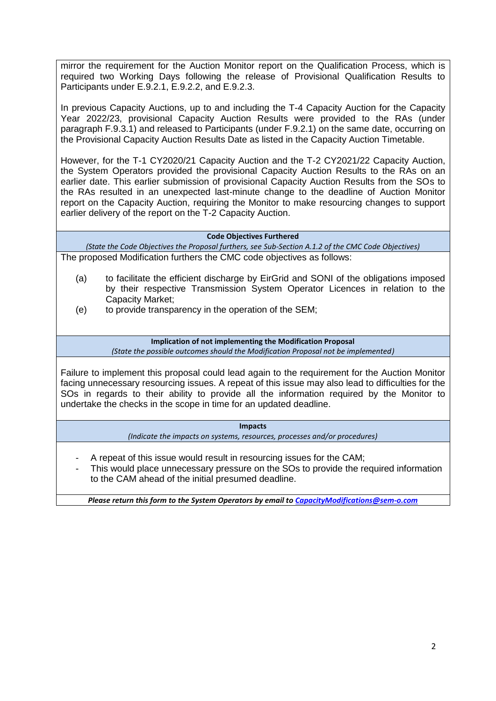mirror the requirement for the Auction Monitor report on the Qualification Process, which is required two Working Days following the release of Provisional Qualification Results to Participants under E.9.2.1, E.9.2.2, and E.9.2.3.

In previous Capacity Auctions, up to and including the T-4 Capacity Auction for the Capacity Year 2022/23, provisional Capacity Auction Results were provided to the RAs (under paragraph F.9.3.1) and released to Participants (under F.9.2.1) on the same date, occurring on the Provisional Capacity Auction Results Date as listed in the Capacity Auction Timetable.

However, for the T-1 CY2020/21 Capacity Auction and the T-2 CY2021/22 Capacity Auction, the System Operators provided the provisional Capacity Auction Results to the RAs on an earlier date. This earlier submission of provisional Capacity Auction Results from the SOs to the RAs resulted in an unexpected last-minute change to the deadline of Auction Monitor report on the Capacity Auction, requiring the Monitor to make resourcing changes to support earlier delivery of the report on the T-2 Capacity Auction.

## **Code Objectives Furthered**

*(State the Code Objectives the Proposal furthers, see Sub-Section A.1.2 of the CMC Code Objectives)* The proposed Modification furthers the CMC code objectives as follows:

- (a) to facilitate the efficient discharge by EirGrid and SONI of the obligations imposed by their respective Transmission System Operator Licences in relation to the Capacity Market;
- (e) to provide transparency in the operation of the SEM;

**Implication of not implementing the Modification Proposal** *(State the possible outcomes should the Modification Proposal not be implemented)*

Failure to implement this proposal could lead again to the requirement for the Auction Monitor facing unnecessary resourcing issues. A repeat of this issue may also lead to difficulties for the SOs in regards to their ability to provide all the information required by the Monitor to undertake the checks in the scope in time for an updated deadline.

> **Impacts** *(Indicate the impacts on systems, resources, processes and/or procedures)*

- A repeat of this issue would result in resourcing issues for the CAM;
- This would place unnecessary pressure on the SOs to provide the required information to the CAM ahead of the initial presumed deadline.

*Please return this form to the System Operators by email t[o CapacityModifications@sem-o.com](mailto:CapacityModifications@sem-o.com)*